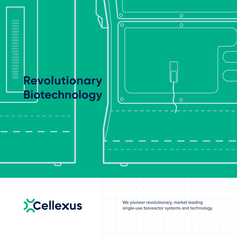

 $\Omega$ 

ි

 $\circ$ 



We pioneer revolutionary, market leading single-use bioreactor systems and technology.

 $\circ$ 

 $\overline{\Omega}$ 

 $\circ$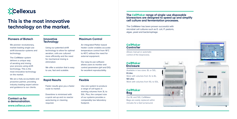

# **This is the most innovative technology on the market.**

#### **Pioneers of Biotech**

We pioneer revolutionary, market leading single-use airlift bioreactor systems and technology.

The CellMaker system delivers a unique way of aerating and mixing your process using airlift technology. This is the most innovative technology on the market.

We are a fully accountable and proactive partner, providing industry leading expert advice and guidance to our clients.

# **Contact us for a demonstration. www.cellexus.com**

# **Innovative Technology**

Using our patented airlift technology to allow for optimal aeration, cells are cultured more efficiently and the need for mechanical mixing is eliminated.

We offer a solution that is easy to use, fast and scalable.

# **Rapid Results**

Faster results give you a faster route to market.

Downtime is minimised with a quick set-up and no reactor autoclaving or cleaning required.

## **Maximum Control**

An integrated Peltier based heater cooler enables accurate temperature control from 16°C to 40°C without the need for external equipment.

Our easy-to-use software allows users to monitor and control parameters (pH and DO) for excellent reproducibility.

# **Flexible**

Use one system to produce a range of cell types in working volumes from 3L to 50L. Plus, the compact size of our systems provides a comparably low laboratory footprint.

#### **The CellMaker range of single-use disposable bioreactors are designed to speed up and simplify cell culture and fermentation processes.**

The CellMaker has been proven successful with microbial cell cultures such as E. coli, P. pastoris, algae, yeast and bacteriophage.

#### CellMaker Controller

Allows manual or automatic control of the bioprocess.

**CellMaker Enclosure** 

Available in two sizes: 8L or 50L. **8 Litre:** Work with volumes from 3L to 8L. **50 Litre:** Work with volumes from 10L to 50L.

#### **CellMaker** Baa

Our 8L and 50L CellMaker Bags are easily replaced within minutes for a fast turnaround.